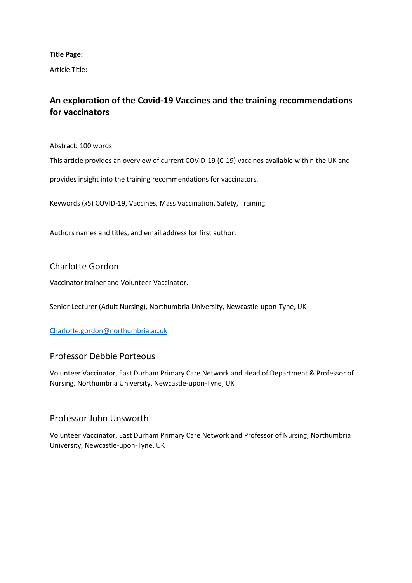**Title Page:**

Article Title:

# **An exploration of the Covid-19 Vaccines and the training recommendations for vaccinators**

Abstract: 100 words

This article provides an overview of current COVID-19 (C-19) vaccines available within the UK and

provides insight into the training recommendations for vaccinators.

Keywords (x5) COVID-19, Vaccines, Mass Vaccination, Safety, Training

Authors names and titles, and email address for first author:

# Charlotte Gordon

Vaccinator trainer and Volunteer Vaccinator.

Senior Lecturer (Adult Nursing), Northumbria University, Newcastle-upon-Tyne, UK

[Charlotte.gordon@northumbria.ac.uk](mailto:Charlotte.gordon@northumbria.ac.uk)

# Professor Debbie Porteous

Volunteer Vaccinator, East Durham Primary Care Network and Head of Department & Professor of Nursing, Northumbria University, Newcastle-upon-Tyne, UK

# Professor John Unsworth

Volunteer Vaccinator, East Durham Primary Care Network and Professor of Nursing, Northumbria University, Newcastle-upon-Tyne, UK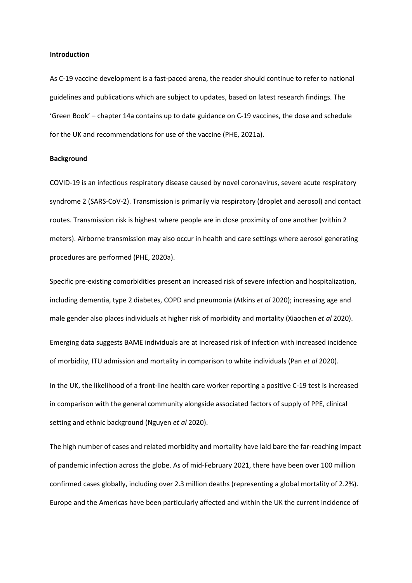#### **Introduction**

As C-19 vaccine development is a fast-paced arena, the reader should continue to refer to national guidelines and publications which are subject to updates, based on latest research findings. The 'Green Book' – chapter 14a contains up to date guidance on C-19 vaccines, the dose and schedule for the UK and recommendations for use of the vaccine (PHE, 2021a).

#### **Background**

COVID-19 is an infectious respiratory disease caused by novel coronavirus, severe acute respiratory syndrome 2 (SARS-CoV-2). Transmission is primarily via respiratory (droplet and aerosol) and contact routes. Transmission risk is highest where people are in close proximity of one another (within 2 meters). Airborne transmission may also occur in health and care settings where aerosol generating procedures are performed (PHE, 2020a).

Specific pre-existing comorbidities present an increased risk of severe infection and hospitalization, including dementia, type 2 diabetes, COPD and pneumonia (Atkins *et al* 2020); increasing age and male gender also places individuals at higher risk of morbidity and mortality (Xiaochen *et al* 2020).

Emerging data suggests BAME individuals are at increased risk of infection with increased incidence of morbidity, ITU admission and mortality in comparison to white individuals (Pan *et al* 2020).

In the UK, the likelihood of a front-line health care worker reporting a positive C-19 test is increased in comparison with the general community alongside associated factors of supply of PPE, clinical setting and ethnic background (Nguyen *et al* 2020).

The high number of cases and related morbidity and mortality have laid bare the far-reaching impact of pandemic infection across the globe. As of mid-February 2021, there have been over 100 million confirmed cases globally, including over 2.3 million deaths (representing a global mortality of 2.2%). Europe and the Americas have been particularly affected and within the UK the current incidence of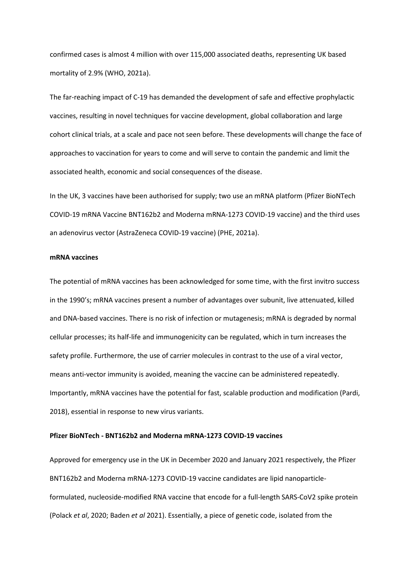confirmed cases is almost 4 million with over 115,000 associated deaths, representing UK based mortality of 2.9% (WHO, 2021a).

The far-reaching impact of C-19 has demanded the development of safe and effective prophylactic vaccines, resulting in novel techniques for vaccine development, global collaboration and large cohort clinical trials, at a scale and pace not seen before. These developments will change the face of approaches to vaccination for years to come and will serve to contain the pandemic and limit the associated health, economic and social consequences of the disease.

In the UK, 3 vaccines have been authorised for supply; two use an mRNA platform (Pfizer BioNTech COVID-19 mRNA Vaccine BNT162b2 and Moderna mRNA-1273 COVID-19 vaccine) and the third uses an adenovirus vector (AstraZeneca COVID-19 vaccine) (PHE, 2021a).

#### **mRNA vaccines**

The potential of mRNA vaccines has been acknowledged for some time, with the first invitro success in the 1990's; mRNA vaccines present a number of advantages over subunit, live attenuated, killed and DNA-based vaccines. There is no risk of infection or mutagenesis; mRNA is degraded by normal cellular processes; its half-life and immunogenicity can be regulated, which in turn increases the safety profile. Furthermore, the use of carrier molecules in contrast to the use of a viral vector, means anti-vector immunity is avoided, meaning the vaccine can be administered repeatedly. Importantly, mRNA vaccines have the potential for fast, scalable production and modification (Pardi, 2018), essential in response to new virus variants.

### **Pfizer BioNTech - BNT162b2 and Moderna mRNA-1273 COVID-19 vaccines**

Approved for emergency use in the UK in December 2020 and January 2021 respectively, the Pfizer BNT162b2 and Moderna mRNA-1273 COVID-19 vaccine candidates are lipid nanoparticleformulated, nucleoside-modified RNA vaccine that encode for a full-length SARS-CoV2 spike protein (Polack *et al*, 2020; Baden *et al* 2021). Essentially, a piece of genetic code, isolated from the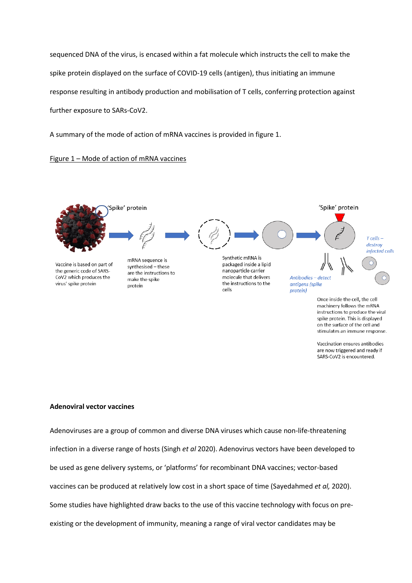sequenced DNA of the virus, is encased within a fat molecule which instructs the cell to make the spike protein displayed on the surface of COVID-19 cells (antigen), thus initiating an immune response resulting in antibody production and mobilisation of T cells, conferring protection against further exposure to SARs-CoV2.

A summary of the mode of action of mRNA vaccines is provided in figure 1.

## Figure 1 – Mode of action of mRNA vaccines



on the surface of the cell and stimulates an immune response. Vaccination ensures antibodies

are now triggered and ready if SARS-CoV2 is encountered.

## **Adenoviral vector vaccines**

Adenoviruses are a group of common and diverse DNA viruses which cause non-life-threatening infection in a diverse range of hosts (Singh *et al* 2020). Adenovirus vectors have been developed to be used as gene delivery systems, or 'platforms' for recombinant DNA vaccines; vector-based vaccines can be produced at relatively low cost in a short space of time (Sayedahmed *et al,* 2020). Some studies have highlighted draw backs to the use of this vaccine technology with focus on preexisting or the development of immunity, meaning a range of viral vector candidates may be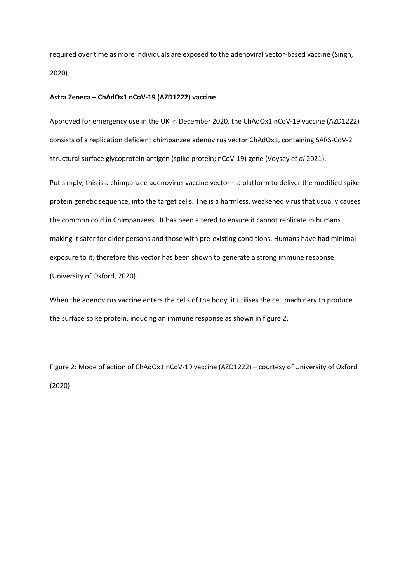required over time as more individuals are exposed to the adenoviral vector-based vaccine (Singh, 2020).

#### **Astra Zeneca – ChAdOx1 nCoV-19 (AZD1222) vaccine**

Approved for emergency use in the UK in December 2020, the ChAdOx1 nCoV-19 vaccine (AZD1222) consists of a replication deficient chimpanzee adenovirus vector ChAdOx1, containing SARS-CoV-2 structural surface glycoprotein antigen (spike protein; nCoV-19) gene (Voysey *et al* 2021).

Put simply, this is a chimpanzee adenovirus vaccine vector – a platform to deliver the modified spike protein genetic sequence, into the target cells. The is a harmless, weakened virus that usually causes the common cold in Chimpanzees. It has been altered to ensure it cannot replicate in humans making it safer for older persons and those with pre-existing conditions. Humans have had minimal exposure to it; therefore this vector has been shown to generate a strong immune response (University of Oxford, 2020).

When the adenovirus vaccine enters the cells of the body, it utilises the cell machinery to produce the surface spike protein, inducing an immune response as shown in figure 2.

Figure 2: Mode of action of ChAdOx1 nCoV-19 vaccine (AZD1222) – courtesy of University of Oxford (2020)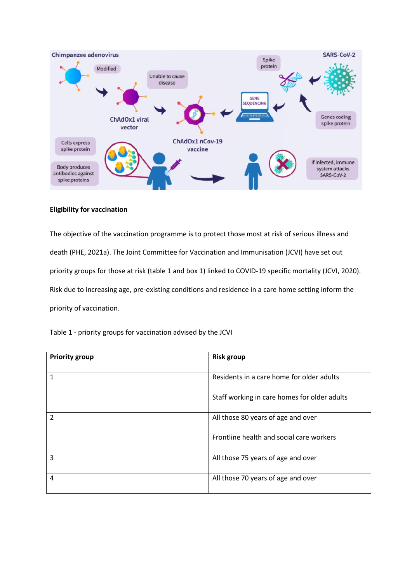

## **Eligibility for vaccination**

The objective of the vaccination programme is to protect those most at risk of serious illness and death (PHE, 2021a). The Joint Committee for Vaccination and Immunisation (JCVI) have set out priority groups for those at risk (table 1 and box 1) linked to COVID-19 specific mortality (JCVI, 2020). Risk due to increasing age, pre-existing conditions and residence in a care home setting inform the priority of vaccination.

| Table 1 - priority groups for vaccination advised by the JCVI |  |  |  |  |
|---------------------------------------------------------------|--|--|--|--|
|---------------------------------------------------------------|--|--|--|--|

| <b>Priority group</b> | <b>Risk group</b>                            |
|-----------------------|----------------------------------------------|
| 1                     | Residents in a care home for older adults    |
|                       | Staff working in care homes for older adults |
| $\overline{2}$        | All those 80 years of age and over           |
|                       | Frontline health and social care workers     |
| 3                     | All those 75 years of age and over           |
| 4                     | All those 70 years of age and over           |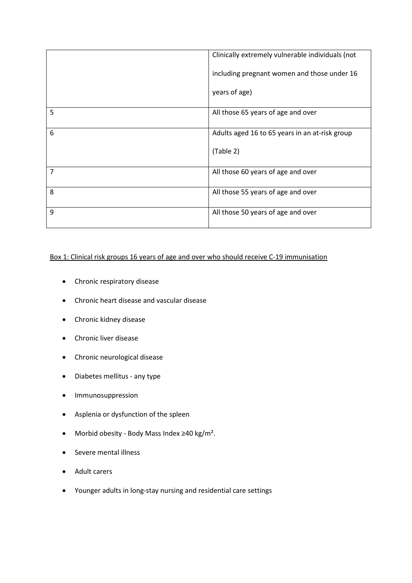|   | Clinically extremely vulnerable individuals (not |
|---|--------------------------------------------------|
|   | including pregnant women and those under 16      |
|   | years of age)                                    |
| 5 | All those 65 years of age and over               |
| 6 | Adults aged 16 to 65 years in an at-risk group   |
|   | (Table 2)                                        |
| 7 | All those 60 years of age and over               |
| 8 | All those 55 years of age and over               |
| 9 | All those 50 years of age and over               |

## Box 1: Clinical risk groups 16 years of age and over who should receive C-19 immunisation

- Chronic respiratory disease
- Chronic heart disease and vascular disease
- Chronic kidney disease
- Chronic liver disease
- Chronic neurological disease
- Diabetes mellitus any type
- Immunosuppression
- Asplenia or dysfunction of the spleen
- Morbid obesity Body Mass Index ≥40 kg/m².
- Severe mental illness
- Adult carers
- Younger adults in long-stay nursing and residential care settings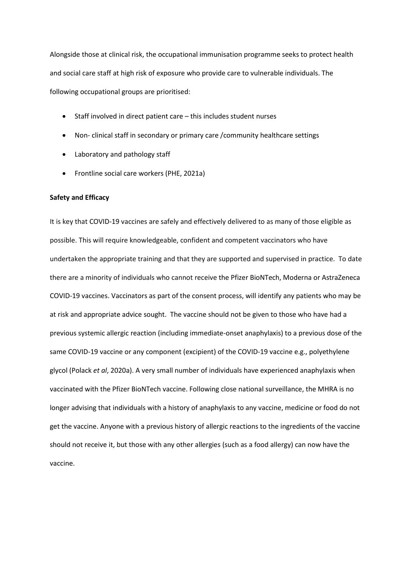Alongside those at clinical risk, the occupational immunisation programme seeks to protect health and social care staff at high risk of exposure who provide care to vulnerable individuals. The following occupational groups are prioritised:

- Staff involved in direct patient care this includes student nurses
- Non- clinical staff in secondary or primary care /community healthcare settings
- Laboratory and pathology staff
- Frontline social care workers (PHE, 2021a)

#### **Safety and Efficacy**

It is key that COVID-19 vaccines are safely and effectively delivered to as many of those eligible as possible. This will require knowledgeable, confident and competent vaccinators who have undertaken the appropriate training and that they are supported and supervised in practice. To date there are a minority of individuals who cannot receive the Pfizer BioNTech, Moderna or AstraZeneca COVID-19 vaccines. Vaccinators as part of the consent process, will identify any patients who may be at risk and appropriate advice sought. The vaccine should not be given to those who have had a previous systemic allergic reaction (including immediate-onset anaphylaxis) to a previous dose of the same COVID-19 vaccine or any component (excipient) of the COVID-19 vaccine e.g., polyethylene glycol (Polack *et al*, 2020a). A very small number of individuals have experienced anaphylaxis when vaccinated with the Pfizer BioNTech vaccine. Following close national surveillance, the MHRA is no longer advising that individuals with a history of anaphylaxis to any vaccine, medicine or food do not get the vaccine. Anyone with a previous history of allergic reactions to the ingredients of the vaccine should not receive it, but those with any other allergies (such as a food allergy) can now have the vaccine.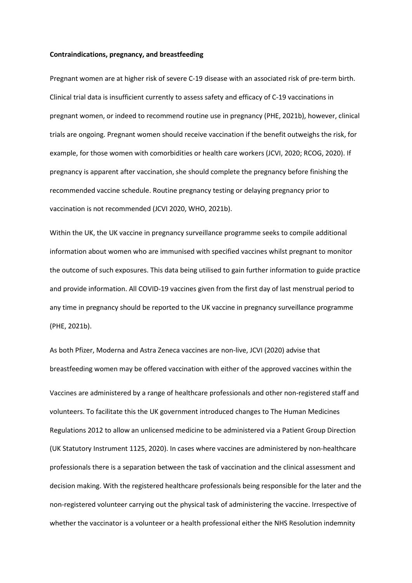#### **Contraindications, pregnancy, and breastfeeding**

Pregnant women are at higher risk of severe C-19 disease with an associated risk of pre-term birth. Clinical trial data is insufficient currently to assess safety and efficacy of C-19 vaccinations in pregnant women, or indeed to recommend routine use in pregnancy (PHE, 2021b), however, clinical trials are ongoing. Pregnant women should receive vaccination if the benefit outweighs the risk, for example, for those women with comorbidities or health care workers (JCVI, 2020; RCOG, 2020). If pregnancy is apparent after vaccination, she should complete the pregnancy before finishing the recommended vaccine schedule. Routine pregnancy testing or delaying pregnancy prior to vaccination is not recommended (JCVI 2020, WHO, 2021b).

Within the UK, the UK vaccine in pregnancy surveillance programme seeks to compile additional information about women who are immunised with specified vaccines whilst pregnant to monitor the outcome of such exposures. This data being utilised to gain further information to guide practice and provide information. All COVID-19 vaccines given from the first day of last menstrual period to any time in pregnancy should be reported to the UK vaccine in pregnancy surveillance programme (PHE, 2021b).

As both Pfizer, Moderna and Astra Zeneca vaccines are non-live, JCVI (2020) advise that breastfeeding women may be offered vaccination with either of the approved vaccines within the Vaccines are administered by a range of healthcare professionals and other non-registered staff and volunteers. To facilitate this the UK government introduced changes to The Human Medicines Regulations 2012 to allow an unlicensed medicine to be administered via a Patient Group Direction (UK Statutory Instrument 1125, 2020). In cases where vaccines are administered by non-healthcare professionals there is a separation between the task of vaccination and the clinical assessment and decision making. With the registered healthcare professionals being responsible for the later and the non-registered volunteer carrying out the physical task of administering the vaccine. Irrespective of whether the vaccinator is a volunteer or a health professional either the NHS Resolution indemnity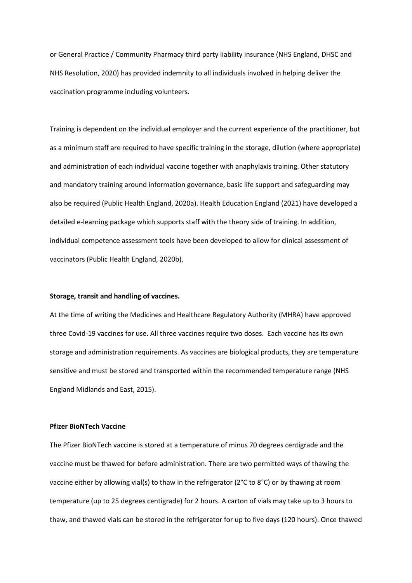or General Practice / Community Pharmacy third party liability insurance (NHS England, DHSC and NHS Resolution, 2020) has provided indemnity to all individuals involved in helping deliver the vaccination programme including volunteers.

Training is dependent on the individual employer and the current experience of the practitioner, but as a minimum staff are required to have specific training in the storage, dilution (where appropriate) and administration of each individual vaccine together with anaphylaxis training. Other statutory and mandatory training around information governance, basic life support and safeguarding may also be required (Public Health England, 2020a). Health Education England (2021) have developed a detailed e-learning package which supports staff with the theory side of training. In addition, individual competence assessment tools have been developed to allow for clinical assessment of vaccinators (Public Health England, 2020b).

#### **Storage, transit and handling of vaccines.**

At the time of writing the Medicines and Healthcare Regulatory Authority (MHRA) have approved three Covid-19 vaccines for use. All three vaccines require two doses. Each vaccine has its own storage and administration requirements. As vaccines are biological products, they are temperature sensitive and must be stored and transported within the recommended temperature range (NHS England Midlands and East, 2015).

#### **Pfizer BioNTech Vaccine**

The Pfizer BioNTech vaccine is stored at a temperature of minus 70 degrees centigrade and the vaccine must be thawed for before administration. There are two permitted ways of thawing the vaccine either by allowing vial(s) to thaw in the refrigerator (2°C to 8°C) or by thawing at room temperature (up to 25 degrees centigrade) for 2 hours. A carton of vials may take up to 3 hours to thaw, and thawed vials can be stored in the refrigerator for up to five days (120 hours). Once thawed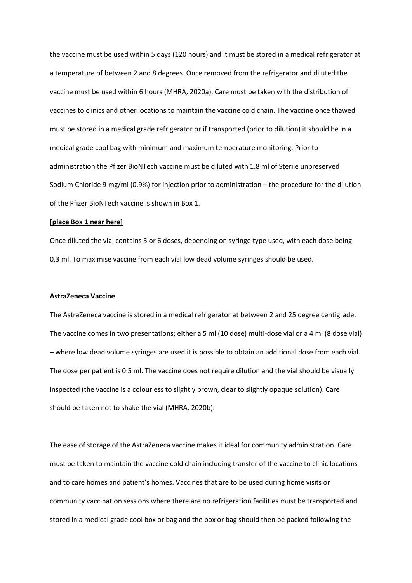the vaccine must be used within 5 days (120 hours) and it must be stored in a medical refrigerator at a temperature of between 2 and 8 degrees. Once removed from the refrigerator and diluted the vaccine must be used within 6 hours (MHRA, 2020a). Care must be taken with the distribution of vaccines to clinics and other locations to maintain the vaccine cold chain. The vaccine once thawed must be stored in a medical grade refrigerator or if transported (prior to dilution) it should be in a medical grade cool bag with minimum and maximum temperature monitoring. Prior to administration the Pfizer BioNTech vaccine must be diluted with 1.8 ml of Sterile unpreserved Sodium Chloride 9 mg/ml (0.9%) for injection prior to administration – the procedure for the dilution of the Pfizer BioNTech vaccine is shown in Box 1.

#### **[place Box 1 near here]**

Once diluted the vial contains 5 or 6 doses, depending on syringe type used, with each dose being 0.3 ml. To maximise vaccine from each vial low dead volume syringes should be used.

#### **AstraZeneca Vaccine**

The AstraZeneca vaccine is stored in a medical refrigerator at between 2 and 25 degree centigrade. The vaccine comes in two presentations; either a 5 ml (10 dose) multi-dose vial or a 4 ml (8 dose vial) – where low dead volume syringes are used it is possible to obtain an additional dose from each vial. The dose per patient is 0.5 ml. The vaccine does not require dilution and the vial should be visually inspected (the vaccine is a colourless to slightly brown, clear to slightly opaque solution). Care should be taken not to shake the vial (MHRA, 2020b).

The ease of storage of the AstraZeneca vaccine makes it ideal for community administration. Care must be taken to maintain the vaccine cold chain including transfer of the vaccine to clinic locations and to care homes and patient's homes. Vaccines that are to be used during home visits or community vaccination sessions where there are no refrigeration facilities must be transported and stored in a medical grade cool box or bag and the box or bag should then be packed following the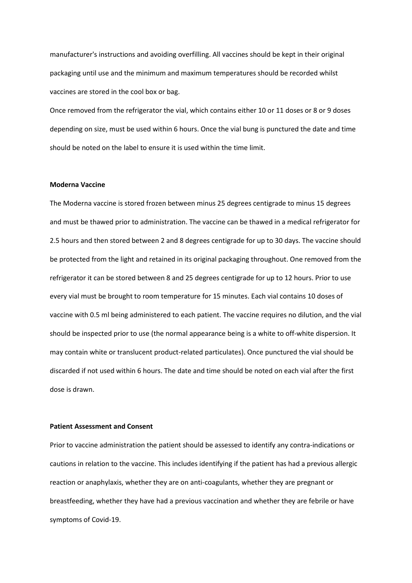manufacturer's instructions and avoiding overfilling. All vaccines should be kept in their original packaging until use and the minimum and maximum temperatures should be recorded whilst vaccines are stored in the cool box or bag.

Once removed from the refrigerator the vial, which contains either 10 or 11 doses or 8 or 9 doses depending on size, must be used within 6 hours. Once the vial bung is punctured the date and time should be noted on the label to ensure it is used within the time limit.

### **Moderna Vaccine**

The Moderna vaccine is stored frozen between minus 25 degrees centigrade to minus 15 degrees and must be thawed prior to administration. The vaccine can be thawed in a medical refrigerator for 2.5 hours and then stored between 2 and 8 degrees centigrade for up to 30 days. The vaccine should be protected from the light and retained in its original packaging throughout. One removed from the refrigerator it can be stored between 8 and 25 degrees centigrade for up to 12 hours. Prior to use every vial must be brought to room temperature for 15 minutes. Each vial contains 10 doses of vaccine with 0.5 ml being administered to each patient. The vaccine requires no dilution, and the vial should be inspected prior to use (the normal appearance being is a white to off-white dispersion. It may contain white or translucent product-related particulates). Once punctured the vial should be discarded if not used within 6 hours. The date and time should be noted on each vial after the first dose is drawn.

### **Patient Assessment and Consent**

Prior to vaccine administration the patient should be assessed to identify any contra-indications or cautions in relation to the vaccine. This includes identifying if the patient has had a previous allergic reaction or anaphylaxis, whether they are on anti-coagulants, whether they are pregnant or breastfeeding, whether they have had a previous vaccination and whether they are febrile or have symptoms of Covid-19.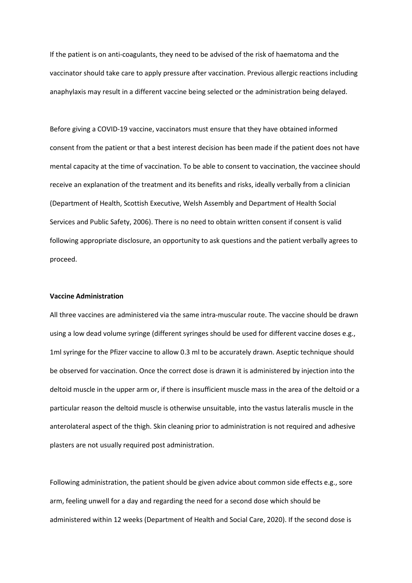If the patient is on anti-coagulants, they need to be advised of the risk of haematoma and the vaccinator should take care to apply pressure after vaccination. Previous allergic reactions including anaphylaxis may result in a different vaccine being selected or the administration being delayed.

Before giving a COVID-19 vaccine, vaccinators must ensure that they have obtained informed consent from the patient or that a best interest decision has been made if the patient does not have mental capacity at the time of vaccination. To be able to consent to vaccination, the vaccinee should receive an explanation of the treatment and its benefits and risks, ideally verbally from a clinician (Department of Health, Scottish Executive, Welsh Assembly and Department of Health Social Services and Public Safety, 2006). There is no need to obtain written consent if consent is valid following appropriate disclosure, an opportunity to ask questions and the patient verbally agrees to proceed.

#### **Vaccine Administration**

All three vaccines are administered via the same intra-muscular route. The vaccine should be drawn using a low dead volume syringe (different syringes should be used for different vaccine doses e.g., 1ml syringe for the Pfizer vaccine to allow 0.3 ml to be accurately drawn. Aseptic technique should be observed for vaccination. Once the correct dose is drawn it is administered by injection into the deltoid muscle in the upper arm or, if there is insufficient muscle mass in the area of the deltoid or a particular reason the deltoid muscle is otherwise unsuitable, into the vastus lateralis muscle in the anterolateral aspect of the thigh. Skin cleaning prior to administration is not required and adhesive plasters are not usually required post administration.

Following administration, the patient should be given advice about common side effects e.g., sore arm, feeling unwell for a day and regarding the need for a second dose which should be administered within 12 weeks (Department of Health and Social Care, 2020). If the second dose is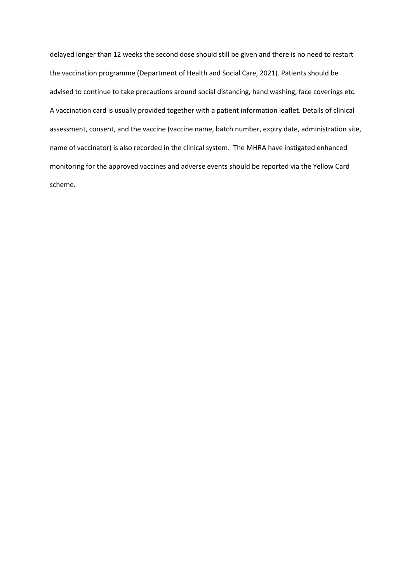delayed longer than 12 weeks the second dose should still be given and there is no need to restart the vaccination programme (Department of Health and Social Care, 2021). Patients should be advised to continue to take precautions around social distancing, hand washing, face coverings etc. A vaccination card is usually provided together with a patient information leaflet. Details of clinical assessment, consent, and the vaccine (vaccine name, batch number, expiry date, administration site, name of vaccinator) is also recorded in the clinical system. The MHRA have instigated enhanced monitoring for the approved vaccines and adverse events should be reported via the Yellow Card scheme.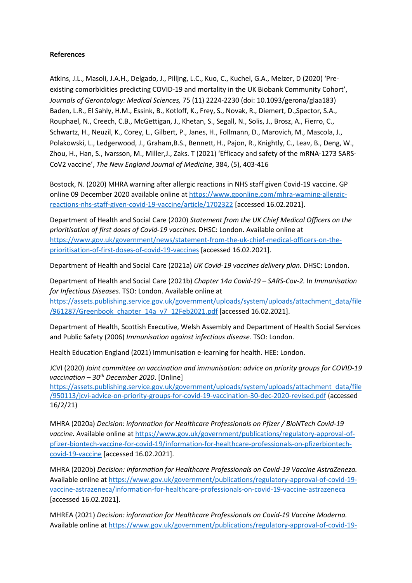## **References**

Atkins, J.L., Masoli, J.A.H., Delgado, J., Pilljng, L.C., Kuo, C., Kuchel, G.A., Melzer, D (2020) 'Preexisting comorbidities predicting COVID-19 and mortality in the UK Biobank Community Cohort', *Journals of Gerontology: Medical Sciences,* 75 (11) 2224-2230 (doi: 10.1093/gerona/glaa183) Baden, L.R., El Sahly, H.M., Essink, B., Kotloff, K., Frey, S., Novak, R., Diemert, D.,Spector, S.A., Rouphael, N., Creech, C.B., McGettigan, J., Khetan, S., Segall, N., Solis, J., Brosz, A., Fierro, C., Schwartz, H., Neuzil, K., Corey, L., Gilbert, P., Janes, H., Follmann, D., Marovich, M., Mascola, J., Polakowski, L., Ledgerwood, J., Graham,B.S., Bennett, H., Pajon, R., Knightly, C., Leav, B., Deng, W., Zhou, H., Han, S., Ivarsson, M., Miller,J., Zaks. T (2021) 'Efficacy and safety of the mRNA-1273 SARS-CoV2 vaccine', *The New England Journal of Medicine*, 384, (5), 403-416

Bostock, N. (2020) MHRA warning after allergic reactions in NHS staff given Covid-19 vaccine. GP online 09 December 2020 available online at [https://www.gponline.com/mhra](https://www.gponline.com/mhra-warning-allergic-reactions-nhs-staff-given-covid-19-vaccine/article/1702322)-warning-allergic[reactions-nhs-staff-given-covid-19-](https://www.gponline.com/mhra-warning-allergic-reactions-nhs-staff-given-covid-19-vaccine/article/1702322)vaccine/article/1702322 [accessed 16.02.2021].

Department of Health and Social Care (2020) *Statement from the UK Chief Medical Officers on the prioritisation of first doses of Covid-19 vaccines.* DHSC: London. Available online at [https://www.gov.uk/government/news/statement](https://www.gov.uk/government/news/statement-from-the-uk-chief-medical-officers-on-the-prioritisation-of-first-doses-of-covid-19-vaccines)-from-the-uk-chief-medical-officers-on-the[prioritisation-of-first-doses-of-covid-19-vaccines](https://www.gov.uk/government/news/statement-from-the-uk-chief-medical-officers-on-the-prioritisation-of-first-doses-of-covid-19-vaccines) [accessed 16.02.2021].

Department of Health and Social Care (2021a) *UK Covid-19 vaccines delivery plan.* DHSC: London.

Department of Health and Social Care (2021b) *Chapter 14a Covid-19 – SARS-Cov-2.* In *Immunisation for Infectious Diseases.* TSO: London. Available online at [https://assets.publishing.service.gov.uk/government/uploads/system/uploads/attachment\\_data/file](https://assets.publishing.service.gov.uk/government/uploads/system/uploads/attachment_data/file/961287/Greenbook_chapter_14a_v7_12Feb2021.pdf) [/961287/Greenbook\\_chapter\\_14a\\_v7\\_12Feb2021.pdf](https://assets.publishing.service.gov.uk/government/uploads/system/uploads/attachment_data/file/961287/Greenbook_chapter_14a_v7_12Feb2021.pdf) [accessed 16.02.2021].

Department of Health, Scottish Executive, Welsh Assembly and Department of Health Social Services and Public Safety (2006) *Immunisation against infectious disease.* TSO: London.

Health Education England (2021) Immunisation e-learning for health. HEE: London.

JCVI (2020) *Joint committee on vaccination and immunisation: advice on priority groups for COVID-19 vaccination – 30th December 2020*. [Online] [https://assets.publishing.service.gov.uk/government/uploads/system/uploads/attachment\\_data/file](https://assets.publishing.service.gov.uk/government/uploads/system/uploads/attachment_data/file/950113/jcvi-advice-on-priority-groups-for-covid-19-vaccination-30-dec-2020-revised.pdf)

/950113/jcvi[-advice-on-priority-groups-for-covid-19-vaccination-30-dec-2020-revised.pdf](https://assets.publishing.service.gov.uk/government/uploads/system/uploads/attachment_data/file/950113/jcvi-advice-on-priority-groups-for-covid-19-vaccination-30-dec-2020-revised.pdf) (accessed 16/2/21)

MHRA (2020a) *Decision: information for Healthcare Professionals on Pfizer / BioNTech Covid-19 vaccine.* Available online at [https://www.gov.uk/government/publications/regulatory](https://www.gov.uk/government/publications/regulatory-approval-of-pfizer-biontech-vaccine-for-covid-19/information-for-healthcare-professionals-on-pfizerbiontech-covid-19-vaccine)-approval-ofpfizer-biontech-vaccine-for-covid-19/information[-for-healthcare-professionals-on-pfizerbiontech](https://www.gov.uk/government/publications/regulatory-approval-of-pfizer-biontech-vaccine-for-covid-19/information-for-healthcare-professionals-on-pfizerbiontech-covid-19-vaccine)[covid-19-vaccine](https://www.gov.uk/government/publications/regulatory-approval-of-pfizer-biontech-vaccine-for-covid-19/information-for-healthcare-professionals-on-pfizerbiontech-covid-19-vaccine) [accessed 16.02.2021].

MHRA (2020b) *Decision: information for Healthcare Professionals on Covid-19 Vaccine AstraZeneza.*  Available online at [https://www.gov.uk/government/publications/regulatory](https://www.gov.uk/government/publications/regulatory-approval-of-covid-19-vaccine-astrazeneca/information-for-healthcare-professionals-on-covid-19-vaccine-astrazeneca)-approval-of-covid-19 vaccine-astrazeneca/information[-for-healthcare-professionals-on-covid-19-vaccine-astrazeneca](https://www.gov.uk/government/publications/regulatory-approval-of-covid-19-vaccine-astrazeneca/information-for-healthcare-professionals-on-covid-19-vaccine-astrazeneca) [accessed 16.02.2021].

MHREA (2021) *Decision: information for Healthcare Professionals on Covid-19 Vaccine Moderna.*  Available online at [https://www.gov.uk/government/publications/regulatory](https://www.gov.uk/government/publications/regulatory-approval-of-covid-19-vaccine-moderna/information-for-healthcare-professionals-on-covid-19-vaccine-moderna)-approval-of-covid-19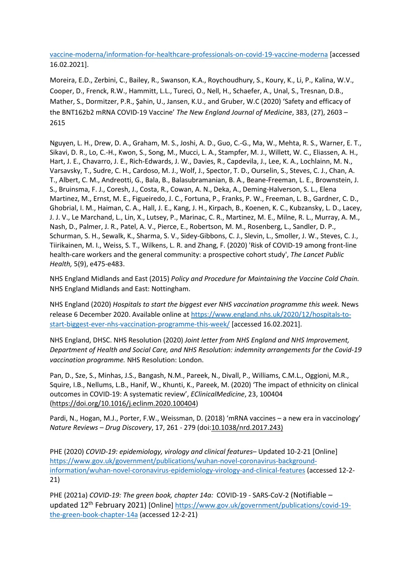vaccine-moderna/information[-for-healthcare-professionals-on-covid-19-vaccine-moderna](https://www.gov.uk/government/publications/regulatory-approval-of-covid-19-vaccine-moderna/information-for-healthcare-professionals-on-covid-19-vaccine-moderna) [accessed 16.02.2021].

Moreira, E.D., Zerbini, C., Bailey, R., Swanson, K.A., Roychoudhury, S., Koury, K., Li, P., Kalina, W.V., Cooper, D., Frenck, R.W., Hammitt, L.L., Tureci, O., Nell, H., Schaefer, A., Unal, S., Tresnan, D.B., Mather, S., Dormitzer, P.R., Şahin, U., Jansen, K.U., and Gruber, W.C (2020) 'Safety and efficacy of the BNT162b2 mRNA COVID-19 Vaccine' *The New England Journal of Medicine*, 383, (27), 2603 – 2615

Nguyen, L. H., Drew, D. A., Graham, M. S., Joshi, A. D., Guo, C.-G., Ma, W., Mehta, R. S., Warner, E. T., Sikavi, D. R., Lo, C.-H., Kwon, S., Song, M., Mucci, L. A., Stampfer, M. J., Willett, W. C., Eliassen, A. H., Hart, J. E., Chavarro, J. E., Rich-Edwards, J. W., Davies, R., Capdevila, J., Lee, K. A., Lochlainn, M. N., Varsavsky, T., Sudre, C. H., Cardoso, M. J., Wolf, J., Spector, T. D., Ourselin, S., Steves, C. J., Chan, A. T., Albert, C. M., Andreotti, G., Bala, B., Balasubramanian, B. A., Beane-Freeman, L. E., Brownstein, J. S., Bruinsma, F. J., Coresh, J., Costa, R., Cowan, A. N., Deka, A., Deming-Halverson, S. L., Elena Martinez, M., Ernst, M. E., Figueiredo, J. C., Fortuna, P., Franks, P. W., Freeman, L. B., Gardner, C. D., Ghobrial, I. M., Haiman, C. A., Hall, J. E., Kang, J. H., Kirpach, B., Koenen, K. C., Kubzansky, L. D., Lacey, J. J. V., Le Marchand, L., Lin, X., Lutsey, P., Marinac, C. R., Martinez, M. E., Milne, R. L., Murray, A. M., Nash, D., Palmer, J. R., Patel, A. V., Pierce, E., Robertson, M. M., Rosenberg, L., Sandler, D. P., Schurman, S. H., Sewalk, K., Sharma, S. V., Sidey-Gibbons, C. J., Slevin, L., Smoller, J. W., Steves, C. J., Tiirikainen, M. I., Weiss, S. T., Wilkens, L. R. and Zhang, F. (2020) 'Risk of COVID-19 among front-line health-care workers and the general community: a prospective cohort study', *The Lancet Public Health,* 5(9), e475-e483.

NHS England Midlands and East (2015) *Policy and Procedure for Maintaining the Vaccine Cold Chain.*  NHS England Midlands and East: Nottingham.

NHS England (2020) *Hospitals to start the biggest ever NHS vaccination programme this week.* News release 6 December 2020. Available online at [https://www.england.nhs.uk/2020/12/hospitals](https://www.england.nhs.uk/2020/12/hospitals-to-start-biggest-ever-nhs-vaccination-programme-this-week/)-to[start-biggest-ever-nhs-vaccination-programme-this-](https://www.england.nhs.uk/2020/12/hospitals-to-start-biggest-ever-nhs-vaccination-programme-this-week/)week/ [accessed 16.02.2021].

NHS England, DHSC. NHS Resolution (2020) *Joint letter from NHS England and NHS Improvement, Department of Health and Social Care, and NHS Resolution: indemnity arrangements for the Covid-19 vaccination programme.* NHS Resolution: London.

Pan, D., Sze, S., Minhas, J.S., Bangash, N.M., Pareek, N., Divall, P., Williams, C.M.L., Oggioni, M.R., Squire, I.B., Nellums, L.B., Hanif, W., Khunti, K., Pareek, M. (2020) 'The impact of ethnicity on clinical outcomes in COVID-19: A systematic review', *EClinicalMedicine*, 23, 100404 (<https://doi.org/10.1016/j.eclinm.2020.100404>)

Pardi, N., Hogan, M.J., Porter, F.W., Weissman, D. (2018) 'mRNA vaccines – a new era in vaccinology' *Nature Reviews – Drug Discovery*, 17, 261 - 279 (doi:10.1038/nrd.2017.243)

PHE (2020) *COVID-19: epidemiology, virology and clinical features*– Updated 10-2-21 [Online] [https://www.gov.uk/government/publications/wuhan](https://www.gov.uk/government/publications/wuhan-novel-coronavirus-background-information/wuhan-novel-coronavirus-epidemiology-virology-and-clinical-features)-novel-coronavirus-backgroundinformation/wuhan[-novel-coronavirus-epidemiology-virology-and-clinical-features](https://www.gov.uk/government/publications/wuhan-novel-coronavirus-background-information/wuhan-novel-coronavirus-epidemiology-virology-and-clinical-features) (accessed 12-2- 21)

PHE (2021a) *COVID-19: The green book, chapter 14a:* COVID-19 - SARS-CoV-2 (Notifiable – updated 12<sup>th</sup> February 2021) [Online] [https://www.gov.uk/government/publications/covid](https://www.gov.uk/government/publications/covid-19-the-green-book-chapter-14a)-19[the-green-book-chapter-14a](https://www.gov.uk/government/publications/covid-19-the-green-book-chapter-14a) (accessed 12-2-21)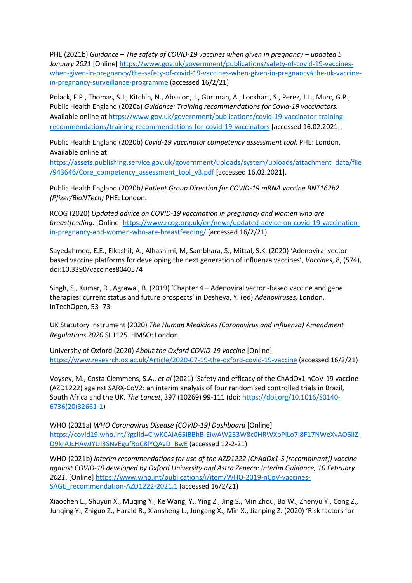PHE (2021b) *Guidance – The safety of COVID-19 vaccines when given in pregnancy – updated 5 January 2021* [Online] [https://www.gov.uk/government/publications/safety](https://www.gov.uk/government/publications/safety-of-covid-19-vaccines-when-given-in-pregnancy/the-safety-of-covid-19-vaccines-when-given-in-pregnancy#the-uk-vaccine-in-pregnancy-surveillance-programme)-of-covid-19-vaccineswhen-given-in-pregnancy/the[-safety-of-covid-19-vaccines-when-given-in-pregnancy#the-uk-vaccine](https://www.gov.uk/government/publications/safety-of-covid-19-vaccines-when-given-in-pregnancy/the-safety-of-covid-19-vaccines-when-given-in-pregnancy#the-uk-vaccine-in-pregnancy-surveillance-programme)[in-pregnancy-surveillance-programme](https://www.gov.uk/government/publications/safety-of-covid-19-vaccines-when-given-in-pregnancy/the-safety-of-covid-19-vaccines-when-given-in-pregnancy#the-uk-vaccine-in-pregnancy-surveillance-programme) (accessed 16/2/21)

Polack, F.P., Thomas, S.J., Kitchin, N., Absalon, J., Gurtman, A., Lockhart, S., Perez, J.L., Marc, G.P., Public Health England (2020a) *Guidance: Training recommendations for Covid-19 vaccinators.*  Available online at [https://www.gov.uk/government/publications/covid](https://www.gov.uk/government/publications/covid-19-vaccinator-training-recommendations/training-recommendations-for-covid-19-vaccinators)-19-vaccinator-trainingrecommendations/training[-recommendations-for-covid-19-vaccinators](https://www.gov.uk/government/publications/covid-19-vaccinator-training-recommendations/training-recommendations-for-covid-19-vaccinators) [accessed 16.02.2021].

Public Health England (2020b) *Covid-19 vaccinator competency assessment tool.* PHE: London. Available online at

[https://assets.publishing.service.gov.uk/government/uploads/system/uploads/attachment\\_data/file](https://assets.publishing.service.gov.uk/government/uploads/system/uploads/attachment_data/file/943646/Core_competency_assessment_tool_v3.pdf) [/943646/Core\\_competency\\_assessment\\_tool\\_v3.pdf](https://assets.publishing.service.gov.uk/government/uploads/system/uploads/attachment_data/file/943646/Core_competency_assessment_tool_v3.pdf) [accessed 16.02.2021].

Public Health England (2020b*) Patient Group Direction for COVID-19 mRNA vaccine BNT162b2 (Pfizer/BioNTech)* PHE: London.

RCOG (2020) *Updated advice on COVID-19 vaccination in pregnancy and women who are breastfeeding*. [Online] [https://www.rcog.org.uk/en/news/updated](https://www.rcog.org.uk/en/news/updated-advice-on-covid-19-vaccination-in-pregnancy-and-women-who-are-breastfeeding/)-advice-on-covid-19-vaccination[in-pregnancy-and-women-who-are-](https://www.rcog.org.uk/en/news/updated-advice-on-covid-19-vaccination-in-pregnancy-and-women-who-are-breastfeeding/)breastfeeding/ (accessed 16/2/21)

Sayedahmed, E.E., Elkashif, A., Alhashimi, M, Sambhara, S., Mittal, S.K. (2020) 'Adenoviral vectorbased vaccine platforms for developing the next generation of influenza vaccines', *Vaccines*, 8, (574), doi:10.3390/vaccines8040574

Singh, S., Kumar, R., Agrawal, B. (2019) 'Chapter 4 – Adenoviral vector -based vaccine and gene therapies: current status and future prospects' in Desheva, Y. (ed) *Adenoviruses,* London. InTechOpen, 53 -73

UK Statutory Instrument (2020) *The Human Medicines (Coronavirus and Influenza) Amendment Regulations 2020* SI 1125. HMSO: London.

University of Oxford (2020) *About the Oxford COVID-19 vaccine* [Online] [https://www.research.ox.ac.uk/Article/2020](https://www.research.ox.ac.uk/Article/2020-07-19-the-oxford-covid-19-vaccine)-07-19-the-oxford-covid-19-vaccine (accessed 16/2/21)

Voysey, M., Costa Clemmens, S.A., *et al* (2021) 'Safety and efficacy of the ChAdOx1 nCoV-19 vaccine (AZD1222) against SARX-CoV2: an interim analysis of four randomised controlled trials in Brazil, South Africa and the UK. *The Lancet*, 397 (10269) 99-111 (doi: h[ttps://doi.org/10.1016/S0140](https://doi.org/10.1016/S0140-6736(20)32661-1)- [6736\(20\)32661-1\)](https://doi.org/10.1016/S0140-6736(20)32661-1)

WHO (2021a) *WHO Coronavirus Disease (COVID-19) Dashboard* [Online] https://covid19.who.int/?gclid=CjwKCAiA65iBBhB[-EiwAW253W8c0HRWXpPiLo7I8F17NWeXyAO6iIZ-](https://covid19.who.int/?gclid=CjwKCAiA65iBBhB-EiwAW253W8c0HRWXpPiLo7I8F17NWeXyAO6iIZ-D9krAJcHAwJYUI3SNvEgufRoC8lYQAvD_BwE)[D9krAJcHAwJYUI3SNvEgufRoC8lYQAvD\\_BwE](https://covid19.who.int/?gclid=CjwKCAiA65iBBhB-EiwAW253W8c0HRWXpPiLo7I8F17NWeXyAO6iIZ-D9krAJcHAwJYUI3SNvEgufRoC8lYQAvD_BwE) (accessed 12-2-21)

WHO (2021b) *Interim recommendations for use of the AZD1222 (ChAdOx1-S [recombinant]) vaccine against COVID-19 developed by Oxford University and Astra Zeneca: Interim Guidance, 10 February 2021*. [Online] [https://www.who.int/publications/i/item/WHO](https://www.who.int/publications/i/item/WHO-2019-nCoV-vaccines-SAGE_recommendation-AZD1222-2021.1)-2019-nCoV-vaccines-[SAGE\\_recommendation](https://www.who.int/publications/i/item/WHO-2019-nCoV-vaccines-SAGE_recommendation-AZD1222-2021.1)-AZD1222-2021.1 (accessed 16/2/21)

Xiaochen L., Shuyun X., Muqing Y., Ke Wang, Y., Ying Z., Jing S., Min Zhou, Bo W., Zhenyu Y., Cong Z., Junqing Y., Zhiguo Z., Harald R., Xiansheng L., Jungang X., Min X., Jianping Z. (2020) 'Risk factors for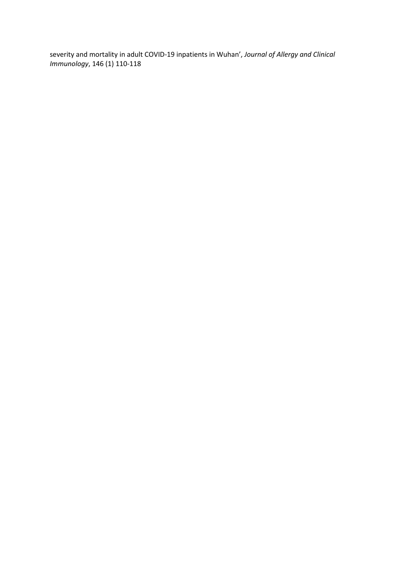severity and mortality in adult COVID-19 inpatients in Wuhan', *Journal of Allergy and Clinical Immunology*, 146 (1) 110-118